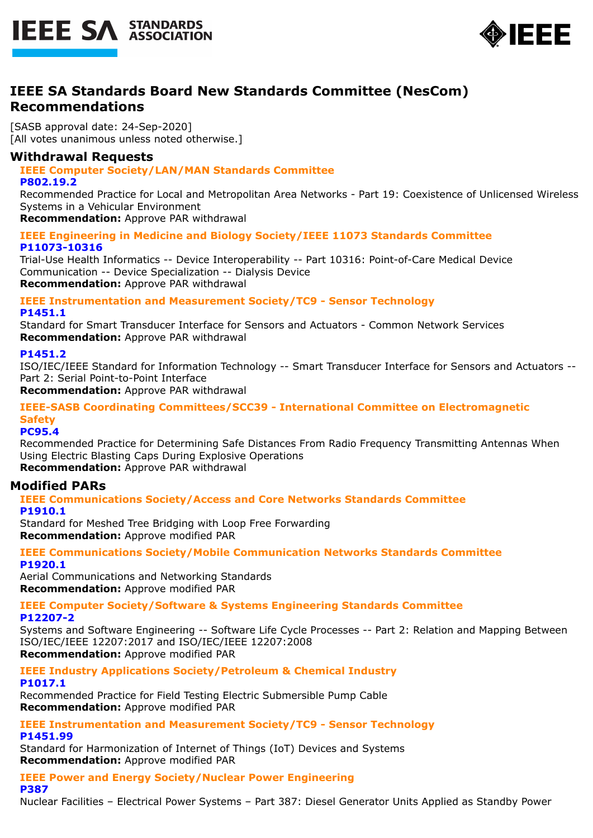



## **IEEE SA Standards Board New Standards Committee (NesCom) Recommendations**

[SASB approval date: 24-Sep-2020] [All votes unanimous unless noted otherwise.]

### **Withdrawal Requests**

### **IEEE Computer Society/LAN/MAN Standards Committee**

**P802.19.2**

Recommended Practice for Local and Metropolitan Area Networks - Part 19: Coexistence of Unlicensed Wireless Systems in a Vehicular Environment

**Recommendation:** Approve PAR withdrawal

**IEEE Engineering in Medicine and Biology Society/IEEE 11073 Standards Committee P11073-10316**

Trial-Use Health Informatics -- Device Interoperability -- Part 10316: Point-of-Care Medical Device Communication -- Device Specialization -- Dialysis Device **Recommendation:** Approve PAR withdrawal

**IEEE Instrumentation and Measurement Society/TC9 - Sensor Technology P1451.1**

Standard for Smart Transducer Interface for Sensors and Actuators - Common Network Services **Recommendation:** Approve PAR withdrawal

### **P1451.2**

ISO/IEC/IEEE Standard for Information Technology -- Smart Transducer Interface for Sensors and Actuators -- Part 2: Serial Point-to-Point Interface

**Recommendation:** Approve PAR withdrawal

### **IEEE-SASB Coordinating Committees/SCC39 - International Committee on Electromagnetic Safety**

**PC95.4**

Recommended Practice for Determining Safe Distances From Radio Frequency Transmitting Antennas When Using Electric Blasting Caps During Explosive Operations

**Recommendation:** Approve PAR withdrawal

### **Modified PARs**

**IEEE Communications Society/Access and Core Networks Standards Committee P1910.1**

Standard for Meshed Tree Bridging with Loop Free Forwarding **Recommendation:** Approve modified PAR

**IEEE Communications Society/Mobile Communication Networks Standards Committee P1920.1**

Aerial Communications and Networking Standards **Recommendation:** Approve modified PAR

**IEEE Computer Society/Software & Systems Engineering Standards Committee P12207-2**

Systems and Software Engineering -- Software Life Cycle Processes -- Part 2: Relation and Mapping Between ISO/IEC/IEEE 12207:2017 and ISO/IEC/IEEE 12207:2008 **Recommendation:** Approve modified PAR

**IEEE Industry Applications Society/Petroleum & Chemical Industry P1017.1**

Recommended Practice for Field Testing Electric Submersible Pump Cable **Recommendation:** Approve modified PAR

**IEEE Instrumentation and Measurement Society/TC9 - Sensor Technology P1451.99**

Standard for Harmonization of Internet of Things (IoT) Devices and Systems **Recommendation:** Approve modified PAR

**IEEE Power and Energy Society/Nuclear Power Engineering P387**

Nuclear Facilities – Electrical Power Systems – Part 387: Diesel Generator Units Applied as Standby Power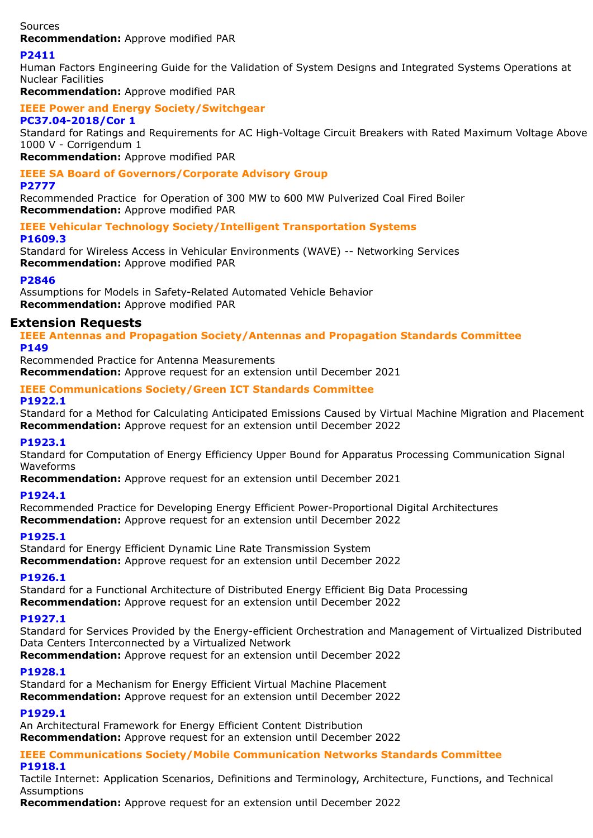Sources

**Recommendation:** Approve modified PAR

### **P2411**

Human Factors Engineering Guide for the Validation of System Designs and Integrated Systems Operations at Nuclear Facilities

**Recommendation:** Approve modified PAR

#### **IEEE Power and Energy Society/Switchgear PC37.04-2018/Cor 1**

Standard for Ratings and Requirements for AC High-Voltage Circuit Breakers with Rated Maximum Voltage Above 1000 V - Corrigendum 1

**Recommendation:** Approve modified PAR

#### **IEEE SA Board of Governors/Corporate Advisory Group P2777**

Recommended Practice for Operation of 300 MW to 600 MW Pulverized Coal Fired Boiler **Recommendation:** Approve modified PAR

### **IEEE Vehicular Technology Society/Intelligent Transportation Systems P1609.3**

Standard for Wireless Access in Vehicular Environments (WAVE) -- Networking Services **Recommendation:** Approve modified PAR

### **P2846**

Assumptions for Models in Safety-Related Automated Vehicle Behavior **Recommendation:** Approve modified PAR

### **Extension Requests**

**IEEE Antennas and Propagation Society/Antennas and Propagation Standards Committee P149**

Recommended Practice for Antenna Measurements **Recommendation:** Approve request for an extension until December 2021

### **IEEE Communications Society/Green ICT Standards Committee**

### **P1922.1**

Standard for a Method for Calculating Anticipated Emissions Caused by Virtual Machine Migration and Placement **Recommendation:** Approve request for an extension until December 2022

### **P1923.1**

Standard for Computation of Energy Efficiency Upper Bound for Apparatus Processing Communication Signal Waveforms

**Recommendation:** Approve request for an extension until December 2021

### **P1924.1**

Recommended Practice for Developing Energy Efficient Power-Proportional Digital Architectures **Recommendation:** Approve request for an extension until December 2022

### **P1925.1**

Standard for Energy Efficient Dynamic Line Rate Transmission System **Recommendation:** Approve request for an extension until December 2022

### **P1926.1**

Standard for a Functional Architecture of Distributed Energy Efficient Big Data Processing **Recommendation:** Approve request for an extension until December 2022

### **P1927.1**

Standard for Services Provided by the Energy-efficient Orchestration and Management of Virtualized Distributed Data Centers Interconnected by a Virtualized Network

**Recommendation:** Approve request for an extension until December 2022

### **P1928.1**

Standard for a Mechanism for Energy Efficient Virtual Machine Placement **Recommendation:** Approve request for an extension until December 2022

### **P1929.1**

An Architectural Framework for Energy Efficient Content Distribution **Recommendation:** Approve request for an extension until December 2022

### **IEEE Communications Society/Mobile Communication Networks Standards Committee**

**P1918.1**

Tactile Internet: Application Scenarios, Definitions and Terminology, Architecture, Functions, and Technical Assumptions

**Recommendation:** Approve request for an extension until December 2022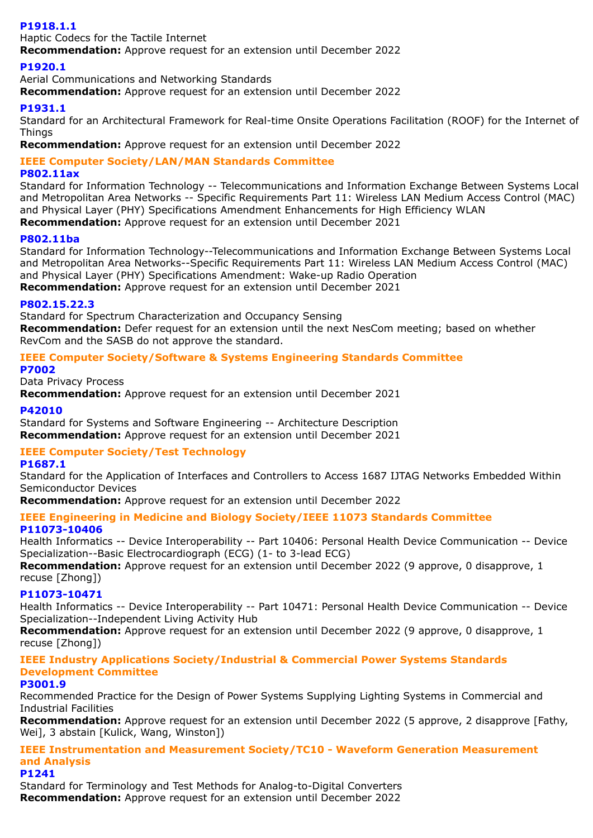### **P1918.1.1**

Haptic Codecs for the Tactile Internet

**Recommendation:** Approve request for an extension until December 2022

### **P1920.1**

Aerial Communications and Networking Standards **Recommendation:** Approve request for an extension until December 2022

### **P1931.1**

Standard for an Architectural Framework for Real-time Onsite Operations Facilitation (ROOF) for the Internet of Things

**Recommendation:** Approve request for an extension until December 2022

### **IEEE Computer Society/LAN/MAN Standards Committee**

### **P802.11ax**

Standard for Information Technology -- Telecommunications and Information Exchange Between Systems Local and Metropolitan Area Networks -- Specific Requirements Part 11: Wireless LAN Medium Access Control (MAC) and Physical Layer (PHY) Specifications Amendment Enhancements for High Efficiency WLAN **Recommendation:** Approve request for an extension until December 2021

### **P802.11ba**

Standard for Information Technology--Telecommunications and Information Exchange Between Systems Local and Metropolitan Area Networks--Specific Requirements Part 11: Wireless LAN Medium Access Control (MAC) and Physical Layer (PHY) Specifications Amendment: Wake-up Radio Operation **Recommendation:** Approve request for an extension until December 2021

### **P802.15.22.3**

Standard for Spectrum Characterization and Occupancy Sensing **Recommendation:** Defer request for an extension until the next NesCom meeting; based on whether RevCom and the SASB do not approve the standard.

## **IEEE Computer Society/Software & Systems Engineering Standards Committee**

### **P7002**

Data Privacy Process

**Recommendation:** Approve request for an extension until December 2021

### **P42010**

Standard for Systems and Software Engineering -- Architecture Description **Recommendation:** Approve request for an extension until December 2021

## **IEEE Computer Society/Test Technology**

### **P1687.1**

Standard for the Application of Interfaces and Controllers to Access 1687 IJTAG Networks Embedded Within Semiconductor Devices

**Recommendation:** Approve request for an extension until December 2022

# **IEEE Engineering in Medicine and Biology Society/IEEE 11073 Standards Committee**

### **P11073-10406**

Health Informatics -- Device Interoperability -- Part 10406: Personal Health Device Communication -- Device Specialization--Basic Electrocardiograph (ECG) (1- to 3-lead ECG)

**Recommendation:** Approve request for an extension until December 2022 (9 approve, 0 disapprove, 1 recuse [Zhong])

### **P11073-10471**

Health Informatics -- Device Interoperability -- Part 10471: Personal Health Device Communication -- Device Specialization--Independent Living Activity Hub

**Recommendation:** Approve request for an extension until December 2022 (9 approve, 0 disapprove, 1 recuse [Zhong])

### **IEEE Industry Applications Society/Industrial & Commercial Power Systems Standards Development Committee**

### **P3001.9**

Recommended Practice for the Design of Power Systems Supplying Lighting Systems in Commercial and Industrial Facilities

**Recommendation:** Approve request for an extension until December 2022 (5 approve, 2 disapprove [Fathy, Wei], 3 abstain [Kulick, Wang, Winston])

### **IEEE Instrumentation and Measurement Society/TC10 - Waveform Generation Measurement and Analysis**

### **P1241**

Standard for Terminology and Test Methods for Analog-to-Digital Converters **Recommendation:** Approve request for an extension until December 2022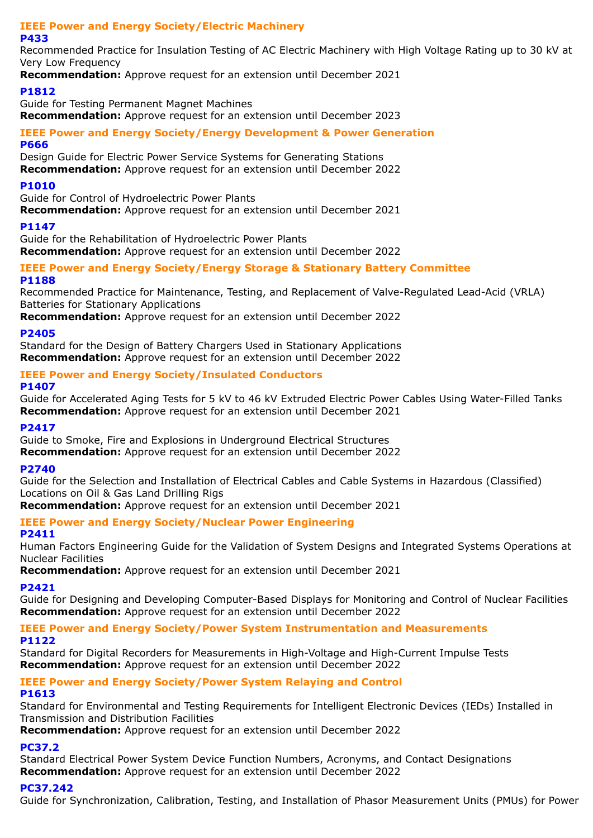# **IEEE Power and Energy Society/Electric Machinery**

### **P433**

Recommended Practice for Insulation Testing of AC Electric Machinery with High Voltage Rating up to 30 kV at Very Low Frequency

**Recommendation:** Approve request for an extension until December 2021

### **P1812**

Guide for Testing Permanent Magnet Machines **Recommendation:** Approve request for an extension until December 2023

## **IEEE Power and Energy Society/Energy Development & Power Generation**

### **P666**

Design Guide for Electric Power Service Systems for Generating Stations **Recommendation:** Approve request for an extension until December 2022

### **P1010**

Guide for Control of Hydroelectric Power Plants

**Recommendation:** Approve request for an extension until December 2021

### **P1147**

Guide for the Rehabilitation of Hydroelectric Power Plants

**Recommendation:** Approve request for an extension until December 2022

#### **IEEE Power and Energy Society/Energy Storage & Stationary Battery Committee P1188**

Recommended Practice for Maintenance, Testing, and Replacement of Valve-Regulated Lead-Acid (VRLA) Batteries for Stationary Applications

**Recommendation:** Approve request for an extension until December 2022

### **P2405**

Standard for the Design of Battery Chargers Used in Stationary Applications **Recommendation:** Approve request for an extension until December 2022

## **IEEE Power and Energy Society/Insulated Conductors**

### **P1407**

Guide for Accelerated Aging Tests for 5 kV to 46 kV Extruded Electric Power Cables Using Water-Filled Tanks **Recommendation:** Approve request for an extension until December 2021

### **P2417**

Guide to Smoke, Fire and Explosions in Underground Electrical Structures **Recommendation:** Approve request for an extension until December 2022

### **P2740**

Guide for the Selection and Installation of Electrical Cables and Cable Systems in Hazardous (Classified) Locations on Oil & Gas Land Drilling Rigs

**Recommendation:** Approve request for an extension until December 2021

## **IEEE Power and Energy Society/Nuclear Power Engineering**

### **P2411**

Human Factors Engineering Guide for the Validation of System Designs and Integrated Systems Operations at Nuclear Facilities

**Recommendation:** Approve request for an extension until December 2021

### **P2421**

Guide for Designing and Developing Computer-Based Displays for Monitoring and Control of Nuclear Facilities **Recommendation:** Approve request for an extension until December 2022

**IEEE Power and Energy Society/Power System Instrumentation and Measurements P1122**

Standard for Digital Recorders for Measurements in High-Voltage and High-Current Impulse Tests **Recommendation:** Approve request for an extension until December 2022

### **IEEE Power and Energy Society/Power System Relaying and Control P1613**

Standard for Environmental and Testing Requirements for Intelligent Electronic Devices (IEDs) Installed in Transmission and Distribution Facilities

**Recommendation:** Approve request for an extension until December 2022

## **PC37.2**

Standard Electrical Power System Device Function Numbers, Acronyms, and Contact Designations **Recommendation:** Approve request for an extension until December 2022

## **PC37.242**

Guide for Synchronization, Calibration, Testing, and Installation of Phasor Measurement Units (PMUs) for Power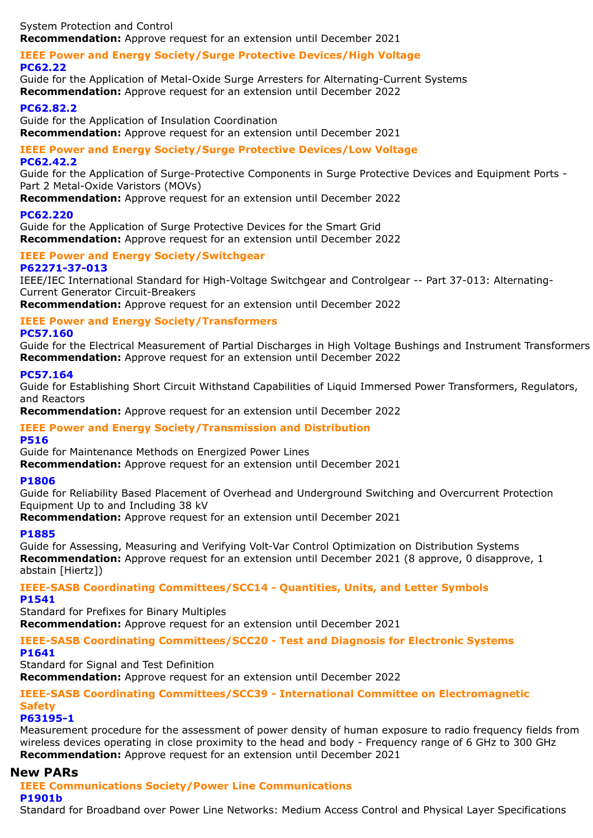System Protection and Control **Recommendation:** Approve request for an extension until December 2021

### **IEEE Power and Energy Society/Surge Protective Devices/High Voltage PC62.22**

Guide for the Application of Metal-Oxide Surge Arresters for Alternating-Current Systems **Recommendation:** Approve request for an extension until December 2022

### **PC62.82.2**

Guide for the Application of Insulation Coordination **Recommendation:** Approve request for an extension until December 2021

### **IEEE Power and Energy Society/Surge Protective Devices/Low Voltage PC62.42.2**

Guide for the Application of Surge-Protective Components in Surge Protective Devices and Equipment Ports - Part 2 Metal-Oxide Varistors (MOVs)

**Recommendation:** Approve request for an extension until December 2022

### **PC62.220**

Guide for the Application of Surge Protective Devices for the Smart Grid **Recommendation:** Approve request for an extension until December 2022

#### **IEEE Power and Energy Society/Switchgear P62271-37-013**

IEEE/IEC International Standard for High-Voltage Switchgear and Controlgear -- Part 37-013: Alternating-Current Generator Circuit-Breakers

**Recommendation:** Approve request for an extension until December 2022

### **IEEE Power and Energy Society/Transformers**

### **PC57.160**

Guide for the Electrical Measurement of Partial Discharges in High Voltage Bushings and Instrument Transformers **Recommendation:** Approve request for an extension until December 2022

### **PC57.164**

Guide for Establishing Short Circuit Withstand Capabilities of Liquid Immersed Power Transformers, Regulators, and Reactors

**Recommendation:** Approve request for an extension until December 2022

### **IEEE Power and Energy Society/Transmission and Distribution**

### **P516**

Guide for Maintenance Methods on Energized Power Lines

**Recommendation:** Approve request for an extension until December 2021

### **P1806**

Guide for Reliability Based Placement of Overhead and Underground Switching and Overcurrent Protection Equipment Up to and Including 38 kV

**Recommendation:** Approve request for an extension until December 2021

### **P1885**

Guide for Assessing, Measuring and Verifying Volt-Var Control Optimization on Distribution Systems **Recommendation:** Approve request for an extension until December 2021 (8 approve, 0 disapprove, 1 abstain [Hiertz])

### **IEEE-SASB Coordinating Committees/SCC14 - Quantities, Units, and Letter Symbols P1541**

Standard for Prefixes for Binary Multiples **Recommendation:** Approve request for an extension until December 2021

### **IEEE-SASB Coordinating Committees/SCC20 - Test and Diagnosis for Electronic Systems**

### **P1641**

Standard for Signal and Test Definition

**Recommendation:** Approve request for an extension until December 2022

## **IEEE-SASB Coordinating Committees/SCC39 - International Committee on Electromagnetic Safety**

### **P63195-1**

Measurement procedure for the assessment of power density of human exposure to radio frequency fields from wireless devices operating in close proximity to the head and body - Frequency range of 6 GHz to 300 GHz **Recommendation:** Approve request for an extension until December 2021

### **New PARs**

#### **IEEE Communications Society/Power Line Communications P1901b**

Standard for Broadband over Power Line Networks: Medium Access Control and Physical Layer Specifications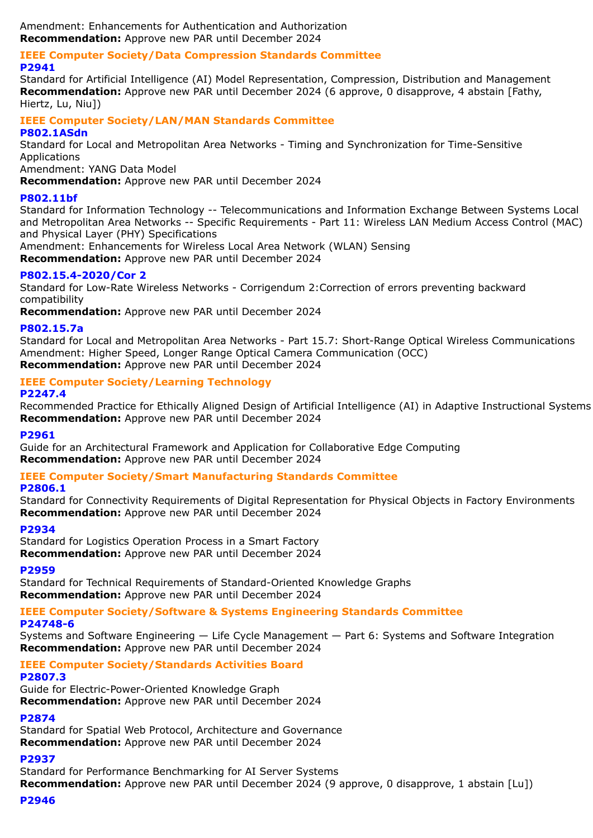Amendment: Enhancements for Authentication and Authorization **Recommendation:** Approve new PAR until December 2024

#### **IEEE Computer Society/Data Compression Standards Committee P2941**

Standard for Artificial Intelligence (AI) Model Representation, Compression, Distribution and Management **Recommendation:** Approve new PAR until December 2024 (6 approve, 0 disapprove, 4 abstain [Fathy, Hiertz, Lu, Niu])

## **IEEE Computer Society/LAN/MAN Standards Committee**

### **P802.1ASdn**

Standard for Local and Metropolitan Area Networks - Timing and Synchronization for Time-Sensitive Applications

Amendment: YANG Data Model

**Recommendation:** Approve new PAR until December 2024

### **P802.11bf**

Standard for Information Technology -- Telecommunications and Information Exchange Between Systems Local and Metropolitan Area Networks -- Specific Requirements - Part 11: Wireless LAN Medium Access Control (MAC) and Physical Layer (PHY) Specifications

Amendment: Enhancements for Wireless Local Area Network (WLAN) Sensing

**Recommendation:** Approve new PAR until December 2024

### **P802.15.4-2020/Cor 2**

Standard for Low-Rate Wireless Networks - Corrigendum 2:Correction of errors preventing backward compatibility

**Recommendation:** Approve new PAR until December 2024

### **P802.15.7a**

Standard for Local and Metropolitan Area Networks - Part 15.7: Short-Range Optical Wireless Communications Amendment: Higher Speed, Longer Range Optical Camera Communication (OCC) **Recommendation:** Approve new PAR until December 2024

#### **IEEE Computer Society/Learning Technology P2247.4**

Recommended Practice for Ethically Aligned Design of Artificial Intelligence (AI) in Adaptive Instructional Systems **Recommendation:** Approve new PAR until December 2024

### **P2961**

Guide for an Architectural Framework and Application for Collaborative Edge Computing **Recommendation:** Approve new PAR until December 2024

### **IEEE Computer Society/Smart Manufacturing Standards Committee**

### **P2806.1**

Standard for Connectivity Requirements of Digital Representation for Physical Objects in Factory Environments **Recommendation:** Approve new PAR until December 2024

### **P2934**

Standard for Logistics Operation Process in a Smart Factory **Recommendation:** Approve new PAR until December 2024

### **P2959**

Standard for Technical Requirements of Standard-Oriented Knowledge Graphs **Recommendation:** Approve new PAR until December 2024

## **IEEE Computer Society/Software & Systems Engineering Standards Committee**

**P24748-6**

Systems and Software Engineering — Life Cycle Management — Part 6: Systems and Software Integration **Recommendation:** Approve new PAR until December 2024

#### **IEEE Computer Society/Standards Activities Board P2807.3**

Guide for Electric-Power-Oriented Knowledge Graph **Recommendation:** Approve new PAR until December 2024

### **P2874**

Standard for Spatial Web Protocol, Architecture and Governance **Recommendation:** Approve new PAR until December 2024

### **P2937**

Standard for Performance Benchmarking for AI Server Systems **Recommendation:** Approve new PAR until December 2024 (9 approve, 0 disapprove, 1 abstain [Lu])

### **P2946**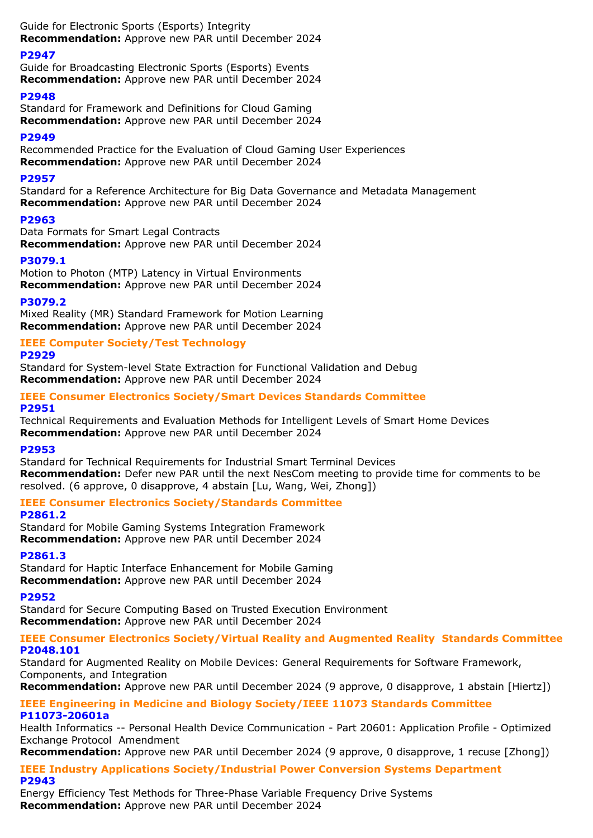Guide for Electronic Sports (Esports) Integrity **Recommendation:** Approve new PAR until December 2024

### **P2947**

Guide for Broadcasting Electronic Sports (Esports) Events **Recommendation:** Approve new PAR until December 2024

### **P2948**

Standard for Framework and Definitions for Cloud Gaming **Recommendation:** Approve new PAR until December 2024

## **P2949**

Recommended Practice for the Evaluation of Cloud Gaming User Experiences **Recommendation:** Approve new PAR until December 2024

### **P2957**

Standard for a Reference Architecture for Big Data Governance and Metadata Management **Recommendation:** Approve new PAR until December 2024

### **P2963**

Data Formats for Smart Legal Contracts **Recommendation:** Approve new PAR until December 2024

### **P3079.1**

Motion to Photon (MTP) Latency in Virtual Environments **Recommendation:** Approve new PAR until December 2024

### **P3079.2**

Mixed Reality (MR) Standard Framework for Motion Learning **Recommendation:** Approve new PAR until December 2024

### **IEEE Computer Society/Test Technology**

### **P2929**

Standard for System-level State Extraction for Functional Validation and Debug **Recommendation:** Approve new PAR until December 2024

### **IEEE Consumer Electronics Society/Smart Devices Standards Committee P2951**

Technical Requirements and Evaluation Methods for Intelligent Levels of Smart Home Devices **Recommendation:** Approve new PAR until December 2024

### **P2953**

Standard for Technical Requirements for Industrial Smart Terminal Devices **Recommendation:** Defer new PAR until the next NesCom meeting to provide time for comments to be resolved. (6 approve, 0 disapprove, 4 abstain [Lu, Wang, Wei, Zhong])

### **IEEE Consumer Electronics Society/Standards Committee**

### **P2861.2**

Standard for Mobile Gaming Systems Integration Framework **Recommendation:** Approve new PAR until December 2024

### **P2861.3**

Standard for Haptic Interface Enhancement for Mobile Gaming **Recommendation:** Approve new PAR until December 2024

### **P2952**

Standard for Secure Computing Based on Trusted Execution Environment **Recommendation:** Approve new PAR until December 2024

### **IEEE Consumer Electronics Society/Virtual Reality and Augmented Reality Standards Committee P2048.101**

Standard for Augmented Reality on Mobile Devices: General Requirements for Software Framework, Components, and Integration

**Recommendation:** Approve new PAR until December 2024 (9 approve, 0 disapprove, 1 abstain [Hiertz])

### **IEEE Engineering in Medicine and Biology Society/IEEE 11073 Standards Committee P11073-20601a**

Health Informatics -- Personal Health Device Communication - Part 20601: Application Profile - Optimized Exchange Protocol Amendment

**Recommendation:** Approve new PAR until December 2024 (9 approve, 0 disapprove, 1 recuse [Zhong])

### **IEEE Industry Applications Society/Industrial Power Conversion Systems Department P2943**

Energy Efficiency Test Methods for Three-Phase Variable Frequency Drive Systems **Recommendation:** Approve new PAR until December 2024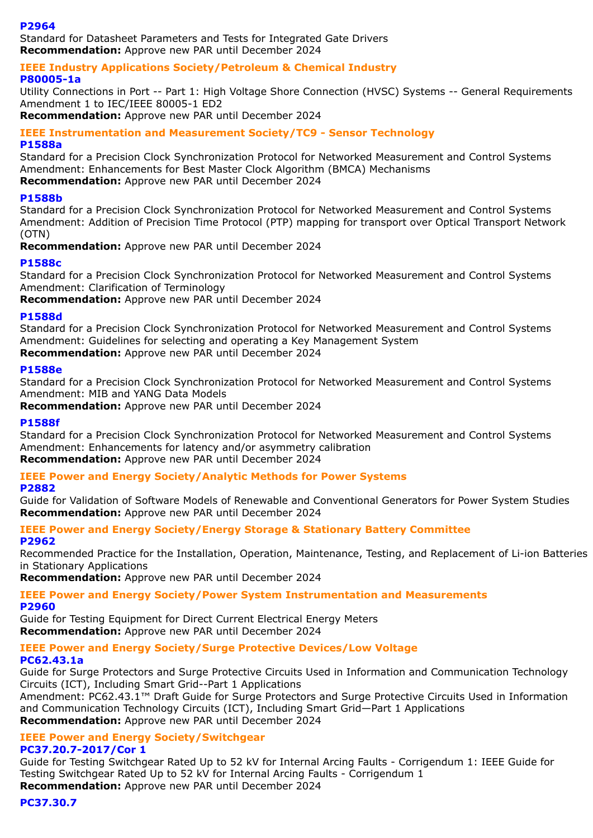### **P2964**

Standard for Datasheet Parameters and Tests for Integrated Gate Drivers **Recommendation:** Approve new PAR until December 2024

**IEEE Industry Applications Society/Petroleum & Chemical Industry P80005-1a**

Utility Connections in Port -- Part 1: High Voltage Shore Connection (HVSC) Systems -- General Requirements Amendment 1 to IEC/IEEE 80005-1 ED2

**Recommendation:** Approve new PAR until December 2024

#### **IEEE Instrumentation and Measurement Society/TC9 - Sensor Technology P1588a**

Standard for a Precision Clock Synchronization Protocol for Networked Measurement and Control Systems Amendment: Enhancements for Best Master Clock Algorithm (BMCA) Mechanisms **Recommendation:** Approve new PAR until December 2024

### **P1588b**

Standard for a Precision Clock Synchronization Protocol for Networked Measurement and Control Systems Amendment: Addition of Precision Time Protocol (PTP) mapping for transport over Optical Transport Network (OTN)

**Recommendation:** Approve new PAR until December 2024

### **P1588c**

Standard for a Precision Clock Synchronization Protocol for Networked Measurement and Control Systems Amendment: Clarification of Terminology

**Recommendation:** Approve new PAR until December 2024

### **P1588d**

Standard for a Precision Clock Synchronization Protocol for Networked Measurement and Control Systems Amendment: Guidelines for selecting and operating a Key Management System **Recommendation:** Approve new PAR until December 2024

### **P1588e**

Standard for a Precision Clock Synchronization Protocol for Networked Measurement and Control Systems Amendment: MIB and YANG Data Models

**Recommendation:** Approve new PAR until December 2024

### **P1588f**

Standard for a Precision Clock Synchronization Protocol for Networked Measurement and Control Systems Amendment: Enhancements for latency and/or asymmetry calibration **Recommendation:** Approve new PAR until December 2024

### **IEEE Power and Energy Society/Analytic Methods for Power Systems**

### **P2882**

Guide for Validation of Software Models of Renewable and Conventional Generators for Power System Studies **Recommendation:** Approve new PAR until December 2024

#### **IEEE Power and Energy Society/Energy Storage & Stationary Battery Committee P2962**

Recommended Practice for the Installation, Operation, Maintenance, Testing, and Replacement of Li-ion Batteries in Stationary Applications

**Recommendation:** Approve new PAR until December 2024

#### **IEEE Power and Energy Society/Power System Instrumentation and Measurements P2960**

Guide for Testing Equipment for Direct Current Electrical Energy Meters **Recommendation:** Approve new PAR until December 2024

## **IEEE Power and Energy Society/Surge Protective Devices/Low Voltage**

### **PC62.43.1a**

Guide for Surge Protectors and Surge Protective Circuits Used in Information and Communication Technology Circuits (ICT), Including Smart Grid--Part 1 Applications

Amendment: PC62.43.1™ Draft Guide for Surge Protectors and Surge Protective Circuits Used in Information and Communication Technology Circuits (ICT), Including Smart Grid—Part 1 Applications **Recommendation:** Approve new PAR until December 2024

### **IEEE Power and Energy Society/Switchgear PC37.20.7-2017/Cor 1**

Guide for Testing Switchgear Rated Up to 52 kV for Internal Arcing Faults - Corrigendum 1: IEEE Guide for Testing Switchgear Rated Up to 52 kV for Internal Arcing Faults - Corrigendum 1 **Recommendation:** Approve new PAR until December 2024

**PC37.30.7**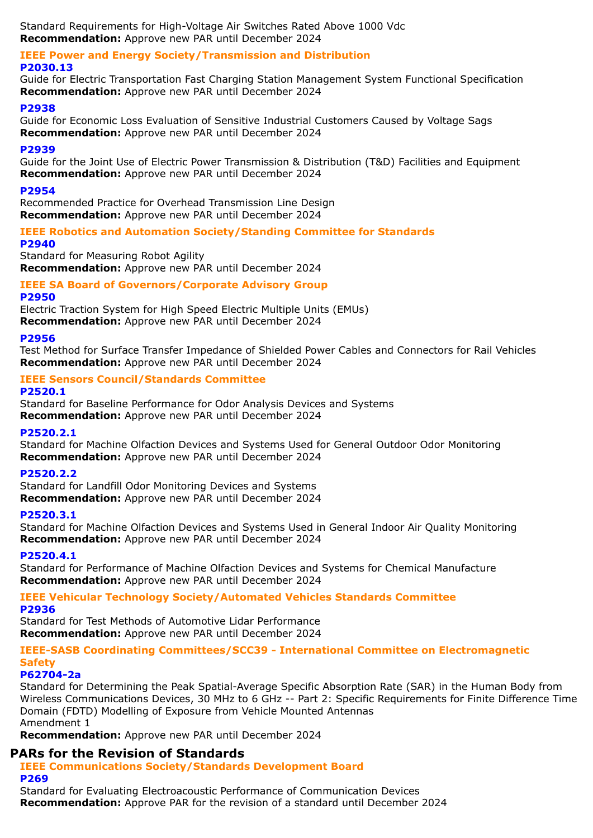Standard Requirements for High-Voltage Air Switches Rated Above 1000 Vdc **Recommendation:** Approve new PAR until December 2024

#### **IEEE Power and Energy Society/Transmission and Distribution P2030.13**

Guide for Electric Transportation Fast Charging Station Management System Functional Specification **Recommendation:** Approve new PAR until December 2024

### **P2938**

Guide for Economic Loss Evaluation of Sensitive Industrial Customers Caused by Voltage Sags **Recommendation:** Approve new PAR until December 2024

### **P2939**

Guide for the Joint Use of Electric Power Transmission & Distribution (T&D) Facilities and Equipment **Recommendation:** Approve new PAR until December 2024

### **P2954**

Recommended Practice for Overhead Transmission Line Design **Recommendation:** Approve new PAR until December 2024

### **IEEE Robotics and Automation Society/Standing Committee for Standards**

**P2940**

Standard for Measuring Robot Agility **Recommendation:** Approve new PAR until December 2024

### **IEEE SA Board of Governors/Corporate Advisory Group**

### **P2950**

Electric Traction System for High Speed Electric Multiple Units (EMUs) **Recommendation:** Approve new PAR until December 2024

### **P2956**

Test Method for Surface Transfer Impedance of Shielded Power Cables and Connectors for Rail Vehicles **Recommendation:** Approve new PAR until December 2024

### **IEEE Sensors Council/Standards Committee**

### **P2520.1**

Standard for Baseline Performance for Odor Analysis Devices and Systems **Recommendation:** Approve new PAR until December 2024

### **P2520.2.1**

Standard for Machine Olfaction Devices and Systems Used for General Outdoor Odor Monitoring **Recommendation:** Approve new PAR until December 2024

### **P2520.2.2**

Standard for Landfill Odor Monitoring Devices and Systems **Recommendation:** Approve new PAR until December 2024

### **P2520.3.1**

Standard for Machine Olfaction Devices and Systems Used in General Indoor Air Quality Monitoring **Recommendation:** Approve new PAR until December 2024

### **P2520.4.1**

Standard for Performance of Machine Olfaction Devices and Systems for Chemical Manufacture **Recommendation:** Approve new PAR until December 2024

#### **IEEE Vehicular Technology Society/Automated Vehicles Standards Committee P2936**

Standard for Test Methods of Automotive Lidar Performance **Recommendation:** Approve new PAR until December 2024

#### **IEEE-SASB Coordinating Committees/SCC39 - International Committee on Electromagnetic Safety**

### **P62704-2a**

Standard for Determining the Peak Spatial-Average Specific Absorption Rate (SAR) in the Human Body from Wireless Communications Devices, 30 MHz to 6 GHz -- Part 2: Specific Requirements for Finite Difference Time Domain (FDTD) Modelling of Exposure from Vehicle Mounted Antennas Amendment 1

**Recommendation:** Approve new PAR until December 2024

### **PARs for the Revision of Standards**

**IEEE Communications Society/Standards Development Board P269**

Standard for Evaluating Electroacoustic Performance of Communication Devices **Recommendation:** Approve PAR for the revision of a standard until December 2024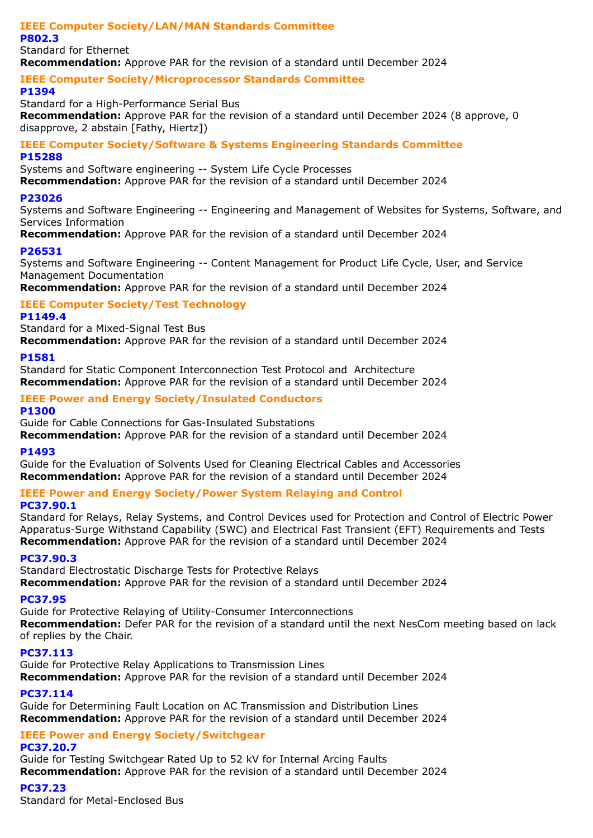#### **IEEE Computer Society/LAN/MAN Standards Committee P802.3**

Standard for Ethernet **Recommendation:** Approve PAR for the revision of a standard until December 2024

### **IEEE Computer Society/Microprocessor Standards Committee**

### **P1394**

Standard for a High-Performance Serial Bus **Recommendation:** Approve PAR for the revision of a standard until December 2024 (8 approve, 0 disapprove, 2 abstain [Fathy, Hiertz])

### **IEEE Computer Society/Software & Systems Engineering Standards Committee P15288**

Systems and Software engineering -- System Life Cycle Processes

**Recommendation:** Approve PAR for the revision of a standard until December 2024

### **P23026**

Systems and Software Engineering -- Engineering and Management of Websites for Systems, Software, and Services Information

**Recommendation:** Approve PAR for the revision of a standard until December 2024

### **P26531**

Systems and Software Engineering -- Content Management for Product Life Cycle, User, and Service Management Documentation

**Recommendation:** Approve PAR for the revision of a standard until December 2024

#### **IEEE Computer Society/Test Technology P1149.4**

Standard for a Mixed-Signal Test Bus

**Recommendation:** Approve PAR for the revision of a standard until December 2024

### **P1581**

Standard for Static Component Interconnection Test Protocol and Architecture **Recommendation:** Approve PAR for the revision of a standard until December 2024

### **IEEE Power and Energy Society/Insulated Conductors**

**P1300**

Guide for Cable Connections for Gas-Insulated Substations

**Recommendation:** Approve PAR for the revision of a standard until December 2024

### **P1493**

Guide for the Evaluation of Solvents Used for Cleaning Electrical Cables and Accessories **Recommendation:** Approve PAR for the revision of a standard until December 2024

## **IEEE Power and Energy Society/Power System Relaying and Control**

### **PC37.90.1**

Standard for Relays, Relay Systems, and Control Devices used for Protection and Control of Electric Power Apparatus-Surge Withstand Capability (SWC) and Electrical Fast Transient (EFT) Requirements and Tests **Recommendation:** Approve PAR for the revision of a standard until December 2024

### **PC37.90.3**

Standard Electrostatic Discharge Tests for Protective Relays **Recommendation:** Approve PAR for the revision of a standard until December 2024

### **PC37.95**

Guide for Protective Relaying of Utility-Consumer Interconnections **Recommendation:** Defer PAR for the revision of a standard until the next NesCom meeting based on lack of replies by the Chair.

### **PC37.113**

Guide for Protective Relay Applications to Transmission Lines **Recommendation:** Approve PAR for the revision of a standard until December 2024

### **PC37.114**

Guide for Determining Fault Location on AC Transmission and Distribution Lines **Recommendation:** Approve PAR for the revision of a standard until December 2024

#### **IEEE Power and Energy Society/Switchgear PC37.20.7**

Guide for Testing Switchgear Rated Up to 52 kV for Internal Arcing Faults **Recommendation:** Approve PAR for the revision of a standard until December 2024

### **PC37.23**

Standard for Metal-Enclosed Bus